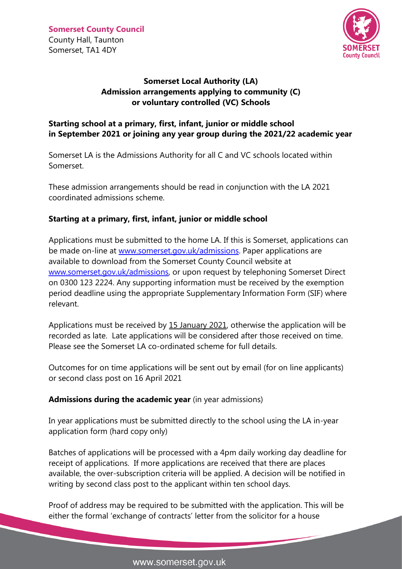

## **Somerset Local Authority (LA) Admission arrangements applying to community (C) or voluntary controlled (VC) Schools**

## **Starting school at a primary, first, infant, junior or middle school in September 2021 or joining any year group during the 2021/22 academic year**

Somerset LA is the Admissions Authority for all C and VC schools located within Somerset.

These admission arrangements should be read in conjunction with the LA 2021 coordinated admissions scheme.

## **Starting at a primary, first, infant, junior or middle school**

Applications must be submitted to the home LA. If this is Somerset, applications can be made on-line at [www.somerset.gov.uk/admissions.](http://www.somerset.gov.uk/admissions) Paper applications are available to download from the Somerset County Council website at [www.somerset.gov.uk/admissions,](http://www.somerset.gov.uk/admissions) or upon request by telephoning Somerset Direct on 0300 123 2224. Any supporting information must be received by the exemption period deadline using the appropriate Supplementary Information Form (SIF) where relevant.

Applications must be received by 15 January 2021, otherwise the application will be recorded as late. Late applications will be considered after those received on time. Please see the Somerset LA co-ordinated scheme for full details.

Outcomes for on time applications will be sent out by email (for on line applicants) or second class post on 16 April 2021

## **Admissions during the academic year** (in year admissions)

In year applications must be submitted directly to the school using the LA in-year application form (hard copy only)

Batches of applications will be processed with a 4pm daily working day deadline for receipt of applications. If more applications are received that there are places available, the over-subscription criteria will be applied. A decision will be notified in writing by second class post to the applicant within ten school days.

Proof of address may be required to be submitted with the application. This will be either the formal 'exchange of contracts' letter from the solicitor for a house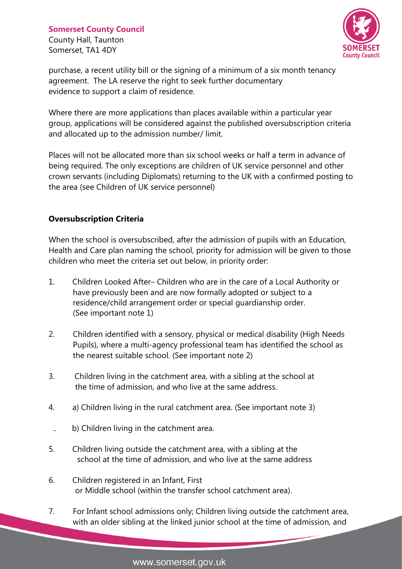County Hall, Taunton Somerset, TA1 4DY



purchase, a recent utility bill or the signing of a minimum of a six month tenancy agreement. The LA reserve the right to seek further documentary evidence to support a claim of residence.

Where there are more applications than places available within a particular year group, applications will be considered against the published oversubscription criteria and allocated up to the admission number/ limit.

Places will not be allocated more than six school weeks or half a term in advance of being required. The only exceptions are children of UK service personnel and other crown servants (including Diplomats) returning to the UK with a confirmed posting to the area (see Children of UK service personnel)

## **Oversubscription Criteria**

When the school is oversubscribed, after the admission of pupils with an Education, Health and Care plan naming the school, priority for admission will be given to those children who meet the criteria set out below, in priority order:

- 1. Children Looked After– Children who are in the care of a Local Authority or have previously been and are now formally adopted or subject to a residence/child arrangement order or special guardianship order. (See important note 1)
- 2. Children identified with a sensory, physical or medical disability (High Needs Pupils), where a multi-agency professional team has identified the school as the nearest suitable school. (See important note 2)
- 3. Children living in the catchment area, with a sibling at the school at the time of admission, and who live at the same address.
- 4. a) Children living in the rural catchment area. (See important note 3)
- .. b) Children living in the catchment area.
- 5. Children living outside the catchment area, with a sibling at the school at the time of admission, and who live at the same address
- 6. Children registered in an Infant, First or Middle school (within the transfer school catchment area).
- 7. For Infant school admissions only; Children living outside the catchment area, with an older sibling at the linked junior school at the time of admission, and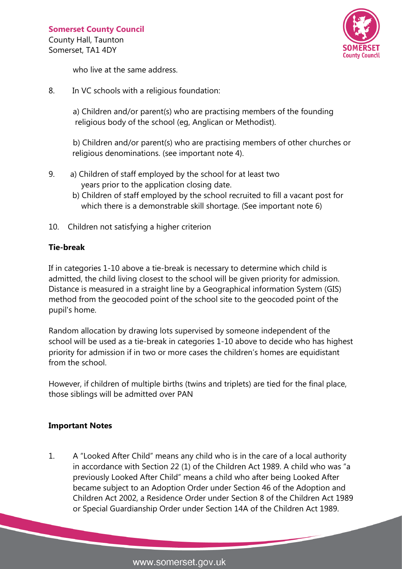County Hall, Taunton Somerset, TA1 4DY



who live at the same address.

8. In VC schools with a religious foundation:

a) Children and/or parent(s) who are practising members of the founding religious body of the school (eg, Anglican or Methodist).

b) Children and/or parent(s) who are practising members of other churches or religious denominations. (see important note 4).

- 9. a) Children of staff employed by the school for at least two years prior to the application closing date.
	- b) Children of staff employed by the school recruited to fill a vacant post for which there is a demonstrable skill shortage. (See important note 6)
- 10. Children not satisfying a higher criterion

#### **Tie-break**

If in categories 1-10 above a tie-break is necessary to determine which child is admitted, the child living closest to the school will be given priority for admission. Distance is measured in a straight line by a Geographical information System (GIS) method from the geocoded point of the school site to the geocoded point of the pupil's home.

Random allocation by drawing lots supervised by someone independent of the school will be used as a tie-break in categories 1-10 above to decide who has highest priority for admission if in two or more cases the children's homes are equidistant from the school.

However, if children of multiple births (twins and triplets) are tied for the final place, those siblings will be admitted over PAN

## **Important Notes**

1. A "Looked After Child" means any child who is in the care of a local authority in accordance with Section 22 (1) of the Children Act 1989. A child who was "a previously Looked After Child" means a child who after being Looked After became subject to an Adoption Order under Section 46 of the Adoption and Children Act 2002, a Residence Order under Section 8 of the Children Act 1989 or Special Guardianship Order under Section 14A of the Children Act 1989.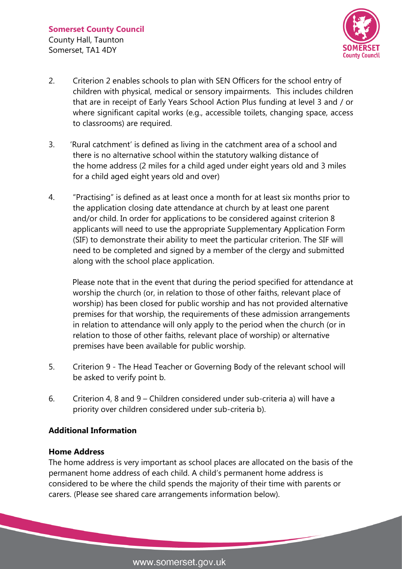

- 2. Criterion 2 enables schools to plan with SEN Officers for the school entry of children with physical, medical or sensory impairments. This includes children that are in receipt of Early Years School Action Plus funding at level 3 and / or where significant capital works (e.g., accessible toilets, changing space, access to classrooms) are required.
- 3. 'Rural catchment' is defined as living in the catchment area of a school and there is no alternative school within the statutory walking distance of the home address (2 miles for a child aged under eight years old and 3 miles for a child aged eight years old and over)
- 4. "Practising" is defined as at least once a month for at least six months prior to the application closing date attendance at church by at least one parent and/or child. In order for applications to be considered against criterion 8 applicants will need to use the appropriate Supplementary Application Form (SIF) to demonstrate their ability to meet the particular criterion. The SIF will need to be completed and signed by a member of the clergy and submitted along with the school place application.

Please note that in the event that during the period specified for attendance at worship the church (or, in relation to those of other faiths, relevant place of worship) has been closed for public worship and has not provided alternative premises for that worship, the requirements of these admission arrangements in relation to attendance will only apply to the period when the church (or in relation to those of other faiths, relevant place of worship) or alternative premises have been available for public worship.

- 5. Criterion 9 The Head Teacher or Governing Body of the relevant school will be asked to verify point b.
- 6. Criterion 4, 8 and 9 Children considered under sub-criteria a) will have a priority over children considered under sub-criteria b).

#### **Additional Information**

#### **Home Address**

The home address is very important as school places are allocated on the basis of the permanent home address of each child. A child's permanent home address is considered to be where the child spends the majority of their time with parents or carers. (Please see shared care arrangements information below).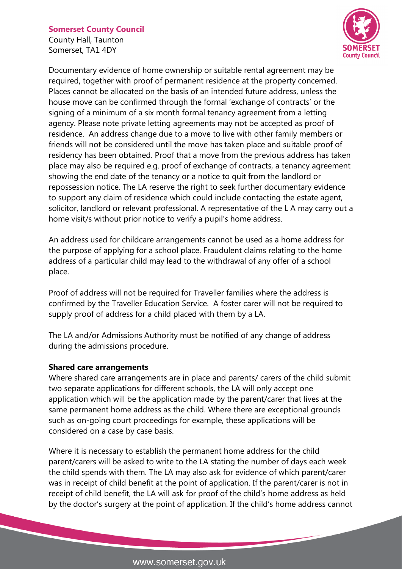County Hall, Taunton Somerset, TA1 4DY



Documentary evidence of home ownership or suitable rental agreement may be required, together with proof of permanent residence at the property concerned. Places cannot be allocated on the basis of an intended future address, unless the house move can be confirmed through the formal 'exchange of contracts' or the signing of a minimum of a six month formal tenancy agreement from a letting agency. Please note private letting agreements may not be accepted as proof of residence. An address change due to a move to live with other family members or friends will not be considered until the move has taken place and suitable proof of residency has been obtained. Proof that a move from the previous address has taken place may also be required e.g. proof of exchange of contracts, a tenancy agreement showing the end date of the tenancy or a notice to quit from the landlord or repossession notice. The LA reserve the right to seek further documentary evidence to support any claim of residence which could include contacting the estate agent, solicitor, landlord or relevant professional. A representative of the L A may carry out a home visit/s without prior notice to verify a pupil's home address.

An address used for childcare arrangements cannot be used as a home address for the purpose of applying for a school place. Fraudulent claims relating to the home address of a particular child may lead to the withdrawal of any offer of a school place.

Proof of address will not be required for Traveller families where the address is confirmed by the Traveller Education Service. A foster carer will not be required to supply proof of address for a child placed with them by a LA.

The LA and/or Admissions Authority must be notified of any change of address during the admissions procedure.

#### **Shared care arrangements**

Where shared care arrangements are in place and parents/ carers of the child submit two separate applications for different schools, the LA will only accept one application which will be the application made by the parent/carer that lives at the same permanent home address as the child. Where there are exceptional grounds such as on-going court proceedings for example, these applications will be considered on a case by case basis.

Where it is necessary to establish the permanent home address for the child parent/carers will be asked to write to the LA stating the number of days each week the child spends with them. The LA may also ask for evidence of which parent/carer was in receipt of child benefit at the point of application. If the parent/carer is not in receipt of child benefit, the LA will ask for proof of the child's home address as held by the doctor's surgery at the point of application. If the child's home address cannot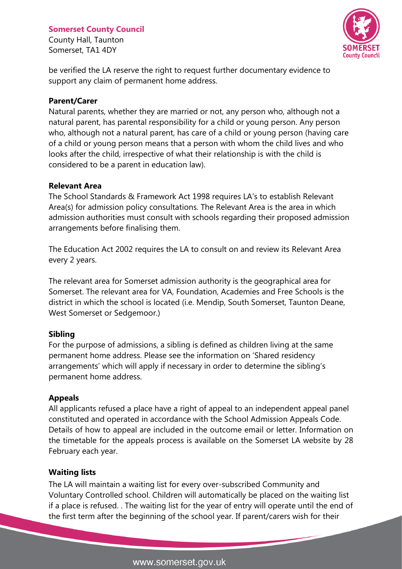County Hall, Taunton Somerset, TA1 4DY



be verified the LA reserve the right to request further documentary evidence to support any claim of permanent home address.

#### **Parent/Carer**

Natural parents, whether they are married or not, any person who, although not a natural parent, has parental responsibility for a child or young person. Any person who, although not a natural parent, has care of a child or young person (having care of a child or young person means that a person with whom the child lives and who looks after the child, irrespective of what their relationship is with the child is considered to be a parent in education law).

## **Relevant Area**

The School Standards & Framework Act 1998 requires LA's to establish Relevant Area(s) for admission policy consultations. The Relevant Area is the area in which admission authorities must consult with schools regarding their proposed admission arrangements before finalising them.

The Education Act 2002 requires the LA to consult on and review its Relevant Area every 2 years.

The relevant area for Somerset admission authority is the geographical area for Somerset. The relevant area for VA, Foundation, Academies and Free Schools is the district in which the school is located (i.e. Mendip, South Somerset, Taunton Deane, West Somerset or Sedgemoor.)

## **Sibling**

For the purpose of admissions, a sibling is defined as children living at the same permanent home address. Please see the information on 'Shared residency arrangements' which will apply if necessary in order to determine the sibling's permanent home address.

## **Appeals**

All applicants refused a place have a right of appeal to an independent appeal panel constituted and operated in accordance with the School Admission Appeals Code. Details of how to appeal are included in the outcome email or letter. Information on the timetable for the appeals process is available on the Somerset LA website by 28 February each year.

## **Waiting lists**

The LA will maintain a waiting list for every over-subscribed Community and Voluntary Controlled school. Children will automatically be placed on the waiting list if a place is refused. . The waiting list for the year of entry will operate until the end of the first term after the beginning of the school year. If parent/carers wish for their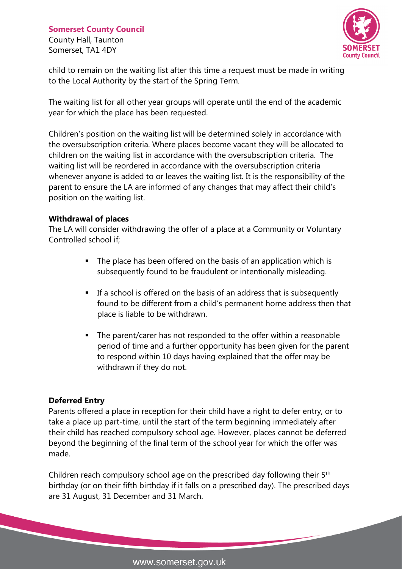County Hall, Taunton Somerset, TA1 4DY



child to remain on the waiting list after this time a request must be made in writing to the Local Authority by the start of the Spring Term.

The waiting list for all other year groups will operate until the end of the academic year for which the place has been requested.

Children's position on the waiting list will be determined solely in accordance with the oversubscription criteria. Where places become vacant they will be allocated to children on the waiting list in accordance with the oversubscription criteria. The waiting list will be reordered in accordance with the oversubscription criteria whenever anyone is added to or leaves the waiting list. It is the responsibility of the parent to ensure the LA are informed of any changes that may affect their child's position on the waiting list.

## **Withdrawal of places**

The LA will consider withdrawing the offer of a place at a Community or Voluntary Controlled school if;

- The place has been offered on the basis of an application which is subsequently found to be fraudulent or intentionally misleading.
- If a school is offered on the basis of an address that is subsequently found to be different from a child's permanent home address then that place is liable to be withdrawn.
- The parent/carer has not responded to the offer within a reasonable period of time and a further opportunity has been given for the parent to respond within 10 days having explained that the offer may be withdrawn if they do not.

#### **Deferred Entry**

Parents offered a place in reception for their child have a right to defer entry, or to take a place up part-time, until the start of the term beginning immediately after their child has reached compulsory school age. However, places cannot be deferred beyond the beginning of the final term of the school year for which the offer was made.

Children reach compulsory school age on the prescribed day following their 5th birthday (or on their fifth birthday if it falls on a prescribed day). The prescribed days are 31 August, 31 December and 31 March.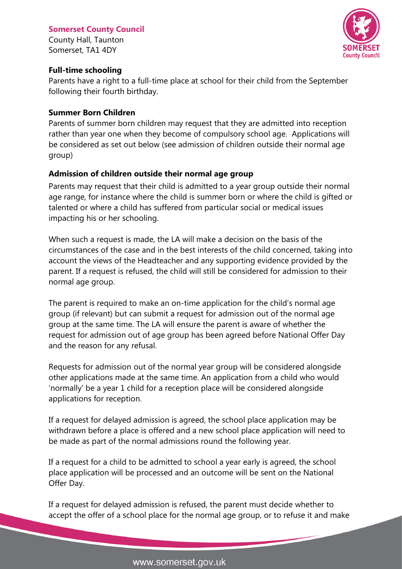#### **Somerset County Council** County Hall, Taunton

Somerset, TA1 4DY



#### **Full-time schooling**

Parents have a right to a full-time place at school for their child from the September following their fourth birthday.

#### **Summer Born Children**

Parents of summer born children may request that they are admitted into reception rather than year one when they become of compulsory school age. Applications will be considered as set out below (see admission of children outside their normal age group)

## **Admission of children outside their normal age group**

Parents may request that their child is admitted to a year group outside their normal age range, for instance where the child is summer born or where the child is gifted or talented or where a child has suffered from particular social or medical issues impacting his or her schooling.

When such a request is made, the LA will make a decision on the basis of the circumstances of the case and in the best interests of the child concerned, taking into account the views of the Headteacher and any supporting evidence provided by the parent. If a request is refused, the child will still be considered for admission to their normal age group.

The parent is required to make an on-time application for the child's normal age group (if relevant) but can submit a request for admission out of the normal age group at the same time. The LA will ensure the parent is aware of whether the request for admission out of age group has been agreed before National Offer Day and the reason for any refusal.

Requests for admission out of the normal year group will be considered alongside other applications made at the same time. An application from a child who would 'normally' be a year 1 child for a reception place will be considered alongside applications for reception.

If a request for delayed admission is agreed, the school place application may be withdrawn before a place is offered and a new school place application will need to be made as part of the normal admissions round the following year.

If a request for a child to be admitted to school a year early is agreed, the school place application will be processed and an outcome will be sent on the National Offer Day.

If a request for delayed admission is refused, the parent must decide whether to accept the offer of a school place for the normal age group, or to refuse it and make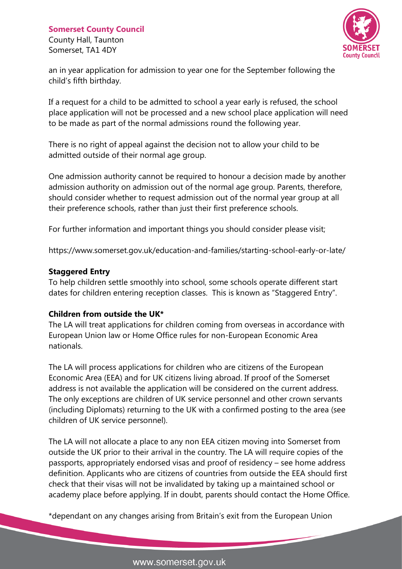County Hall, Taunton Somerset, TA1 4DY



an in year application for admission to year one for the September following the child's fifth birthday.

If a request for a child to be admitted to school a year early is refused, the school place application will not be processed and a new school place application will need to be made as part of the normal admissions round the following year.

There is no right of appeal against the decision not to allow your child to be admitted outside of their normal age group.

One admission authority cannot be required to honour a decision made by another admission authority on admission out of the normal age group. Parents, therefore, should consider whether to request admission out of the normal year group at all their preference schools, rather than just their first preference schools.

For further information and important things you should consider please visit;

https://www.somerset.gov.uk/education-and-families/starting-school-early-or-late/

## **Staggered Entry**

To help children settle smoothly into school, some schools operate different start dates for children entering reception classes. This is known as "Staggered Entry".

## **Children from outside the UK\***

The LA will treat applications for children coming from overseas in accordance with European Union law or Home Office rules for non-European Economic Area nationals.

The LA will process applications for children who are citizens of the European Economic Area (EEA) and for UK citizens living abroad. If proof of the Somerset address is not available the application will be considered on the current address. The only exceptions are children of UK service personnel and other crown servants (including Diplomats) returning to the UK with a confirmed posting to the area (see children of UK service personnel).

The LA will not allocate a place to any non EEA citizen moving into Somerset from outside the UK prior to their arrival in the country. The LA will require copies of the passports, appropriately endorsed visas and proof of residency – see home address definition. Applicants who are citizens of countries from outside the EEA should first check that their visas will not be invalidated by taking up a maintained school or academy place before applying. If in doubt, parents should contact the Home Office.

\*dependant on any changes arising from Britain's exit from the European Union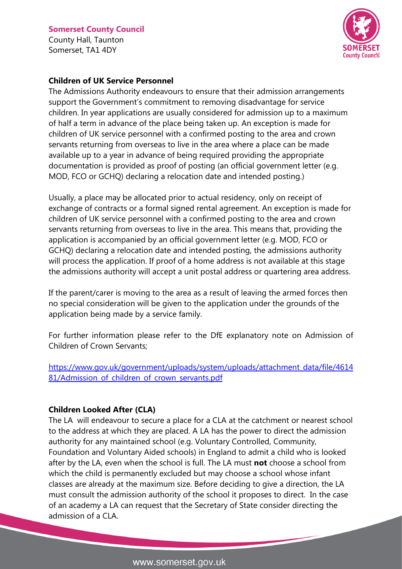#### **Somerset County Council** County Hall, Taunton Somerset, TA1 4DY



#### **Children of UK Service Personnel**

The Admissions Authority endeavours to ensure that their admission arrangements support the Government's commitment to removing disadvantage for service children. In year applications are usually considered for admission up to a maximum of half a term in advance of the place being taken up. An exception is made for children of UK service personnel with a confirmed posting to the area and crown servants returning from overseas to live in the area where a place can be made available up to a year in advance of being required providing the appropriate documentation is provided as proof of posting (an official government letter (e.g. MOD, FCO or GCHQ) declaring a relocation date and intended posting.)

Usually, a place may be allocated prior to actual residency, only on receipt of exchange of contracts or a formal signed rental agreement. An exception is made for children of UK service personnel with a confirmed posting to the area and crown servants returning from overseas to live in the area. This means that, providing the application is accompanied by an official government letter (e.g. MOD, FCO or GCHQ) declaring a relocation date and intended posting, the admissions authority will process the application. If proof of a home address is not available at this stage the admissions authority will accept a unit postal address or quartering area address.

If the parent/carer is moving to the area as a result of leaving the armed forces then no special consideration will be given to the application under the grounds of the application being made by a service family.

For further information please refer to the DfE explanatory note on Admission of Children of Crown Servants;

[https://www.gov.uk/government/uploads/system/uploads/attachment\\_data/file/4614](https://www.gov.uk/government/uploads/system/uploads/attachment_data/file/461481/Admission_of_children_of_crown_servants.pdf) [81/Admission\\_of\\_children\\_of\\_crown\\_servants.pdf](https://www.gov.uk/government/uploads/system/uploads/attachment_data/file/461481/Admission_of_children_of_crown_servants.pdf)

#### **Children Looked After (CLA)**

The LA will endeavour to secure a place for a CLA at the catchment or nearest school to the address at which they are placed. A LA has the power to direct the admission authority for any maintained school (e.g. Voluntary Controlled, Community, Foundation and Voluntary Aided schools) in England to admit a child who is looked after by the LA, even when the school is full. The LA must **not** choose a school from which the child is permanently excluded but may choose a school whose infant classes are already at the maximum size. Before deciding to give a direction, the LA must consult the admission authority of the school it proposes to direct. In the case of an academy a LA can request that the Secretary of State consider directing the admission of a CLA.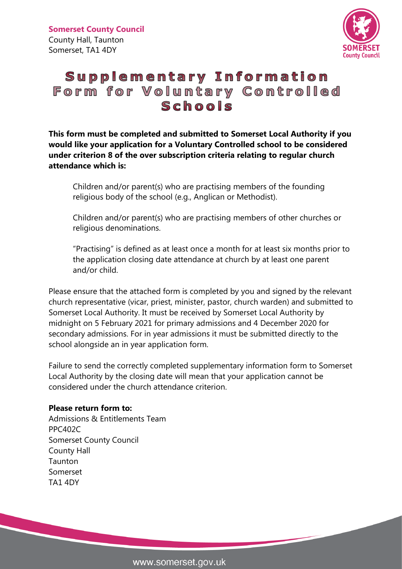

# Supplementary Information Form for Voluntary Controlled Schools

**This form must be completed and submitted to Somerset Local Authority if you would like your application for a Voluntary Controlled school to be considered under criterion 8 of the over subscription criteria relating to regular church attendance which is:**

Children and/or parent(s) who are practising members of the founding religious body of the school (e.g., Anglican or Methodist).

Children and/or parent(s) who are practising members of other churches or religious denominations.

"Practising" is defined as at least once a month for at least six months prior to the application closing date attendance at church by at least one parent and/or child.

Please ensure that the attached form is completed by you and signed by the relevant church representative (vicar, priest, minister, pastor, church warden) and submitted to Somerset Local Authority. It must be received by Somerset Local Authority by midnight on 5 February 2021 for primary admissions and 4 December 2020 for secondary admissions. For in year admissions it must be submitted directly to the school alongside an in year application form.

Failure to send the correctly completed supplementary information form to Somerset Local Authority by the closing date will mean that your application cannot be considered under the church attendance criterion.

#### **Please return form to:**

Admissions & Entitlements Team PPC402C Somerset County Council County Hall Taunton Somerset TA1 4DY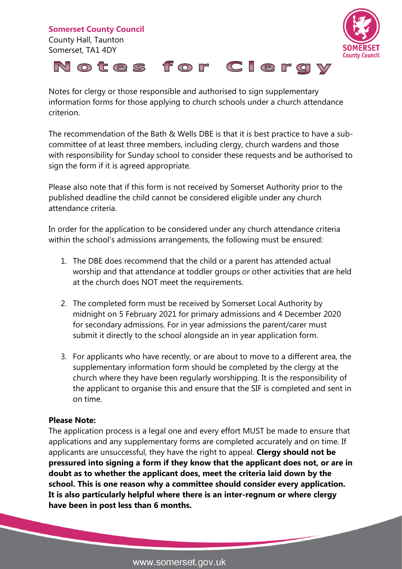

Notes for clergy or those responsible and authorised to sign supplementary information forms for those applying to church schools under a church attendance criterion.

The recommendation of the Bath & Wells DBE is that it is best practice to have a subcommittee of at least three members, including clergy, church wardens and those with responsibility for Sunday school to consider these requests and be authorised to sign the form if it is agreed appropriate.

Please also note that if this form is not received by Somerset Authority prior to the published deadline the child cannot be considered eligible under any church attendance criteria.

In order for the application to be considered under any church attendance criteria within the school's admissions arrangements, the following must be ensured:

- 1. The DBE does recommend that the child or a parent has attended actual worship and that attendance at toddler groups or other activities that are held at the church does NOT meet the requirements.
- 2. The completed form must be received by Somerset Local Authority by midnight on 5 February 2021 for primary admissions and 4 December 2020 for secondary admissions. For in year admissions the parent/carer must submit it directly to the school alongside an in year application form.
- 3. For applicants who have recently, or are about to move to a different area, the supplementary information form should be completed by the clergy at the church where they have been regularly worshipping. It is the responsibility of the applicant to organise this and ensure that the SIF is completed and sent in on time.

#### **Please Note:**

The application process is a legal one and every effort MUST be made to ensure that applications and any supplementary forms are completed accurately and on time. If applicants are unsuccessful, they have the right to appeal. **Clergy should not be pressured into signing a form if they know that the applicant does not, or are in doubt as to whether the applicant does, meet the criteria laid down by the school. This is one reason why a committee should consider every application. It is also particularly helpful where there is an inter-regnum or where clergy have been in post less than 6 months.**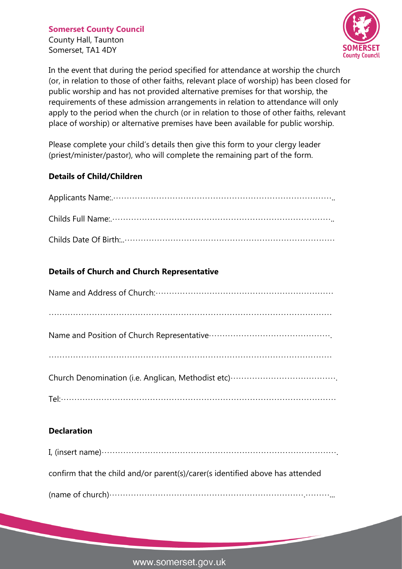County Hall, Taunton Somerset, TA1 4DY



In the event that during the period specified for attendance at worship the church (or, in relation to those of other faiths, relevant place of worship) has been closed for public worship and has not provided alternative premises for that worship, the requirements of these admission arrangements in relation to attendance will only apply to the period when the church (or in relation to those of other faiths, relevant place of worship) or alternative premises have been available for public worship.

Please complete your child's details then give this form to your clergy leader (priest/minister/pastor), who will complete the remaining part of the form.

## **Details of Child/Children**

## **Details of Church and Church Representative**

## **Declaration**

| confirm that the child and/or parent(s)/carer(s identified above has attended |
|-------------------------------------------------------------------------------|
|                                                                               |

www.somerset.gov.uk